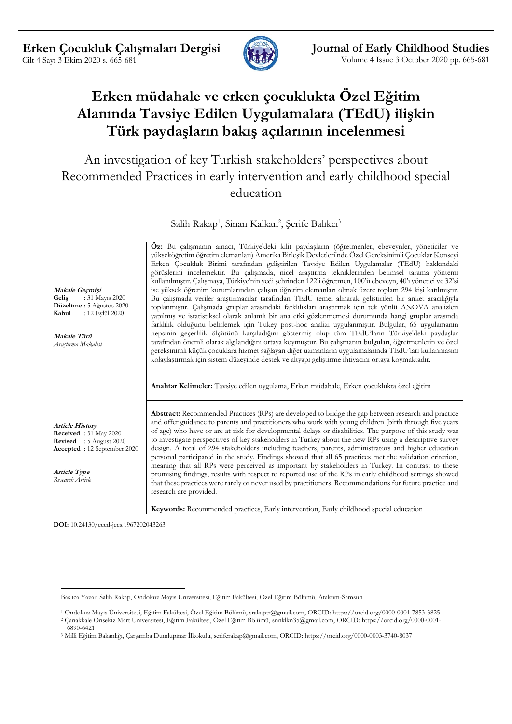

# **Erken müdahale ve erken çocuklukta Özel Eğitim Alanında Tavsiye Edilen Uygulamalara (TEdU) ilişkin Türk paydaşların bakış açılarının incelenmesi**

An investigation of key Turkish stakeholders' perspectives about Recommended Practices in early intervention and early childhood special education

Salih Rakap<sup>1</sup>, Sinan Kalkan<sup>2</sup>, Şerife Balıkcı<sup>3</sup>

**Öz:** Bu çalışmanın amacı, Türkiye'deki kilit paydaşların (öğretmenler, ebeveynler, yöneticiler ve yükseköğretim öğretim elemanları) Amerika Birleşik Devletleri'nde Özel Gereksinimli Çocuklar Konseyi Erken Çocukluk Birimi tarafından geliştirilen Tavsiye Edilen Uygulamalar (TEdU) hakkındaki görüşlerini incelemektir. Bu çalışmada, nicel araştırma tekniklerinden betimsel tarama yöntemi kullanılmıştır. Çalışmaya, Türkiye'nin yedi şehrinden 122'i öğretmen, 100'ü ebeveyn, 40'ı yönetici ve 32'si ise yüksek öğrenim kurumlarından çalışan öğretim elemanları olmak üzere toplam 294 kişi katılmıştır. Bu çalışmada veriler araştırmacılar tarafından TEdU temel alınarak geliştirilen bir anket aracılığıyla toplanmıştır. Çalışmada gruplar arasındaki farklılıkları araştırmak için tek yönlü ANOVA analizleri yapılmış ve istatistiksel olarak anlamlı bir ana etki gözlenmemesi durumunda hangi gruplar arasında farklılık olduğunu belirlemek için Tukey post-hoc analizi uygulanmıştır. Bulgular, 65 uygulamanın hepsinin geçerlilik ölçütünü karşıladığını göstermiş olup tüm TEdU'ların Türkiye'deki paydaşlar tarafından önemli olarak algılandığını ortaya koymuştur. Bu çalışmanın bulguları, öğretmenlerin ve özel gereksinimli küçük çocuklara hizmet sağlayan diğer uzmanların uygulamalarında TEdU'ları kullanmasını kolaylaştırmak için sistem düzeyinde destek ve altyapı geliştirme ihtiyacını ortaya koymaktadır.

**Anahtar Kelimeler:** Tavsiye edilen uygulama, Erken müdahale, Erken çocuklukta özel eğitim

**Abstract:** Recommended Practices (RPs) are developed to bridge the gap between research and practice and offer guidance to parents and practitioners who work with young children (birth through five years of age) who have or are at risk for developmental delays or disabilities. The purpose of this study was to investigate perspectives of key stakeholders in Turkey about the new RPs using a descriptive survey design. A total of 294 stakeholders including teachers, parents, administrators and higher education personal participated in the study. Findings showed that all 65 practices met the validation criterion, meaning that all RPs were perceived as important by stakeholders in Turkey. In contrast to these promising findings, results with respect to reported use of the RPs in early childhood settings showed that these practices were rarely or never used by practitioners. Recommendations for future practice and research are provided.

**Keywords:** Recommended practices, Early intervention, Early childhood special education

**DOI:** 10.24130/eccd-jecs.1967202043263

**Makale Geçmişi Geliş** : 31 Mayıs 2020 **Düzeltme** : 5 Ağustos 2020 **Kabul** : 12 Eylül 2020

**Makale Türü** *Araştırma Makalesi*

**Article History Received** : 31 May 2020 **Revised** : 5 August 2020 **Accepted** : 12 September 2020

**Article Type** *Research Article*

<u>.</u>

Başlıca Yazar: Salih Rakap, Ondokuz Mayıs Üniversitesi, Eğitim Fakültesi, Özel Eğitim Bölümü, Atakum-Samsun

<sup>1</sup> Ondokuz Mayıs Üniversitesi, Eğitim Fakültesi, Özel Eğitim Bölümü, srakaptr@gmail.com, ORCID: https://orcid.org/0000-0001-7853-3825 <sup>2</sup> Çanakkale Onsekiz Mart Üniversitesi, Eğitim Fakültesi, Özel Eğitim Bölümü, snnklkn35@gmail.com, ORCID: https://orcid.org/0000-0001-

<sup>6890-6421</sup>

<sup>3</sup> Milli Eğitim Bakanlığı, Çarşamba Dumlupınar İlkokulu, seriferakap@gmail.com, ORCID: https://orcid.org/0000-0003-3740-8037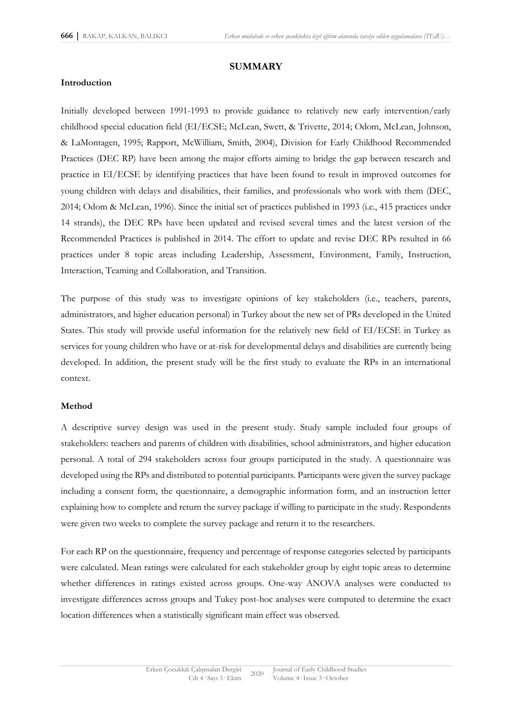### **SUMMARY**

### **Introduction**

Initially developed between 1991-1993 to provide guidance to relatively new early intervention/early childhood special education field (EI/ECSE; McLean, Swett, & Trivette, 2014; Odom, McLean, Johnson, & LaMontagen, 1995; Rapport, McWilliam, Smith, 2004), Division for Early Childhood Recommended Practices (DEC RP) have been among the major efforts aiming to bridge the gap between research and practice in EI/ECSE by identifying practices that have been found to result in improved outcomes for young children with delays and disabilities, their families, and professionals who work with them (DEC, 2014; Odom & McLean, 1996). Since the initial set of practices published in 1993 (i.e., 415 practices under 14 strands), the DEC RPs have been updated and revised several times and the latest version of the Recommended Practices is published in 2014. The effort to update and revise DEC RPs resulted in 66 practices under 8 topic areas including Leadership, Assessment, Environment, Family, Instruction, Interaction, Teaming and Collaboration, and Transition.

The purpose of this study was to investigate opinions of key stakeholders (i.e., teachers, parents, administrators, and higher education personal) in Turkey about the new set of PRs developed in the United States. This study will provide useful information for the relatively new field of EI/ECSE in Turkey as services for young children who have or at-risk for developmental delays and disabilities are currently being developed. In addition, the present study will be the first study to evaluate the RPs in an international context.

### **Method**

A descriptive survey design was used in the present study. Study sample included four groups of stakeholders: teachers and parents of children with disabilities, school administrators, and higher education personal. A total of 294 stakeholders across four groups participated in the study. A questionnaire was developed using the RPs and distributed to potential participants. Participants were given the survey package including a consent form, the questionnaire, a demographic information form, and an instruction letter explaining how to complete and return the survey package if willing to participate in the study. Respondents were given two weeks to complete the survey package and return it to the researchers.

For each RP on the questionnaire, frequency and percentage of response categories selected by participants were calculated. Mean ratings were calculated for each stakeholder group by eight topic areas to determine whether differences in ratings existed across groups. One-way ANOVA analyses were conducted to investigate differences across groups and Tukey post-hoc analyses were computed to determine the exact location differences when a statistically significant main effect was observed.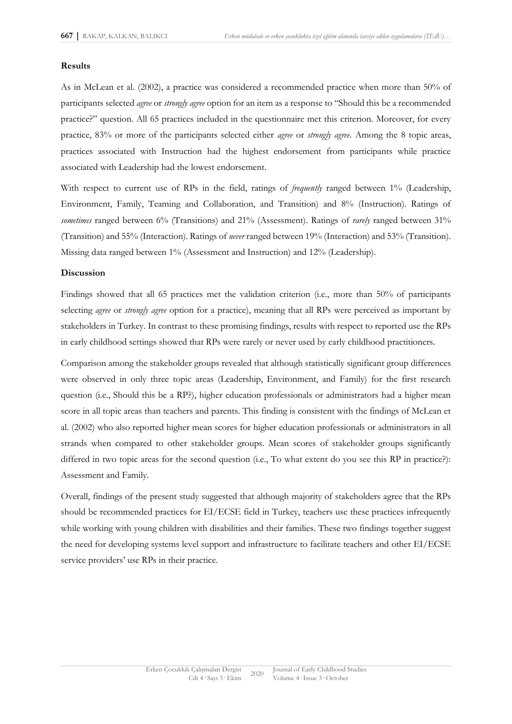#### **Results**

As in McLean et al. (2002), a practice was considered a recommended practice when more than 50% of participants selected *agree* or *strongly agree* option for an item as a response to "Should this be a recommended practice?" question. All 65 practices included in the questionnaire met this criterion. Moreover, for every practice, 83% or more of the participants selected either *agree* or *strongly agree*. Among the 8 topic areas, practices associated with Instruction had the highest endorsement from participants while practice associated with Leadership had the lowest endorsement.

With respect to current use of RPs in the field, ratings of *frequently* ranged between 1% (Leadership, Environment, Family, Teaming and Collaboration, and Transition) and 8% (Instruction). Ratings of *sometimes* ranged between 6% (Transitions) and 21% (Assessment). Ratings of *rarely* ranged between 31% (Transition) and 55% (Interaction). Ratings of *never* ranged between 19% (Interaction) and 53% (Transition). Missing data ranged between 1% (Assessment and Instruction) and 12% (Leadership).

#### **Discussion**

Findings showed that all 65 practices met the validation criterion (i.e., more than 50% of participants selecting *agree* or *strongly agree* option for a practice), meaning that all RPs were perceived as important by stakeholders in Turkey. In contrast to these promising findings, results with respect to reported use the RPs in early childhood settings showed that RPs were rarely or never used by early childhood practitioners.

Comparison among the stakeholder groups revealed that although statistically significant group differences were observed in only three topic areas (Leadership, Environment, and Family) for the first research question (i.e., Should this be a RP?), higher education professionals or administrators had a higher mean score in all topic areas than teachers and parents. This finding is consistent with the findings of McLean et al. (2002) who also reported higher mean scores for higher education professionals or administrators in all strands when compared to other stakeholder groups. Mean scores of stakeholder groups significantly differed in two topic areas for the second question (i.e., To what extent do you see this RP in practice?): Assessment and Family.

Overall, findings of the present study suggested that although majority of stakeholders agree that the RPs should be recommended practices for EI/ECSE field in Turkey, teachers use these practices infrequently while working with young children with disabilities and their families. These two findings together suggest the need for developing systems level support and infrastructure to facilitate teachers and other EI/ECSE service providers' use RPs in their practice.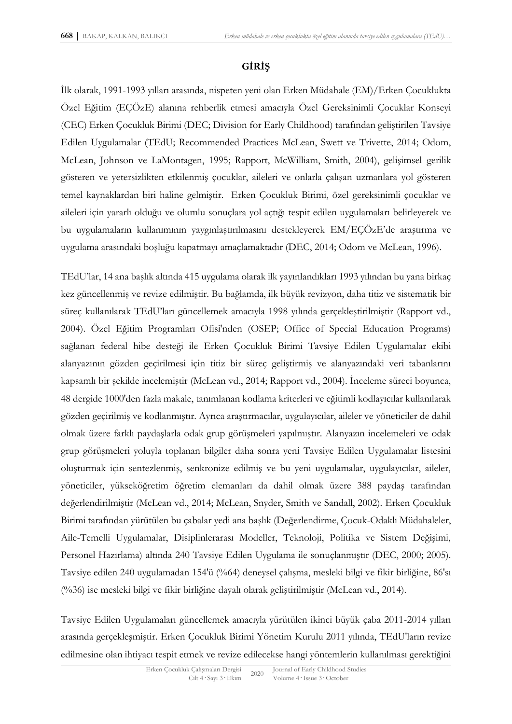# **GİRİŞ**

İlk olarak, 1991-1993 yılları arasında, nispeten yeni olan Erken Müdahale (EM)/Erken Çocuklukta Özel Eğitim (EÇÖzE) alanına rehberlik etmesi amacıyla Özel Gereksinimli Çocuklar Konseyi (CEC) Erken Çocukluk Birimi (DEC; Division for Early Childhood) tarafından geliştirilen Tavsiye Edilen Uygulamalar (TEdU; Recommended Practices McLean, Swett ve Trivette, 2014; Odom, McLean, Johnson ve LaMontagen, 1995; Rapport, McWilliam, Smith, 2004), gelişimsel gerilik gösteren ve yetersizlikten etkilenmiş çocuklar, aileleri ve onlarla çalışan uzmanlara yol gösteren temel kaynaklardan biri haline gelmiştir. Erken Çocukluk Birimi, özel gereksinimli çocuklar ve aileleri için yararlı olduğu ve olumlu sonuçlara yol açtığı tespit edilen uygulamaları belirleyerek ve bu uygulamaların kullanımının yaygınlaştırılmasını destekleyerek EM/EÇÖzE'de araştırma ve uygulama arasındaki boşluğu kapatmayı amaçlamaktadır (DEC, 2014; Odom ve McLean, 1996).

TEdU'lar, 14 ana başlık altında 415 uygulama olarak ilk yayınlandıkları 1993 yılından bu yana birkaç kez güncellenmiş ve revize edilmiştir. Bu bağlamda, ilk büyük revizyon, daha titiz ve sistematik bir süreç kullanılarak TEdU'ları güncellemek amacıyla 1998 yılında gerçekleştirilmiştir (Rapport vd., 2004). Özel Eğitim Programları Ofisi'nden (OSEP; Office of Special Education Programs) sağlanan federal hibe desteği ile Erken Çocukluk Birimi Tavsiye Edilen Uygulamalar ekibi alanyazının gözden geçirilmesi için titiz bir süreç geliştirmiş ve alanyazındaki veri tabanlarını kapsamlı bir şekilde incelemiştir (McLean vd., 2014; Rapport vd., 2004). İnceleme süreci boyunca, 48 dergide 1000'den fazla makale, tanımlanan kodlama kriterleri ve eğitimli kodlayıcılar kullanılarak gözden geçirilmiş ve kodlanmıştır. Ayrıca araştırmacılar, uygulayıcılar, aileler ve yöneticiler de dahil olmak üzere farklı paydaşlarla odak grup görüşmeleri yapılmıştır. Alanyazın incelemeleri ve odak grup görüşmeleri yoluyla toplanan bilgiler daha sonra yeni Tavsiye Edilen Uygulamalar listesini oluşturmak için sentezlenmiş, senkronize edilmiş ve bu yeni uygulamalar, uygulayıcılar, aileler, yöneticiler, yükseköğretim öğretim elemanları da dahil olmak üzere 388 paydaş tarafından değerlendirilmiştir (McLean vd., 2014; McLean, Snyder, Smith ve Sandall, 2002). Erken Çocukluk Birimi tarafından yürütülen bu çabalar yedi ana başlık (Değerlendirme, Çocuk-Odaklı Müdahaleler, Aile-Temelli Uygulamalar, Disiplinlerarası Modeller, Teknoloji, Politika ve Sistem Değişimi, Personel Hazırlama) altında 240 Tavsiye Edilen Uygulama ile sonuçlanmıştır (DEC, 2000; 2005). Tavsiye edilen 240 uygulamadan 154'ü (%64) deneysel çalışma, mesleki bilgi ve fikir birliğine, 86'sı (%36) ise mesleki bilgi ve fikir birliğine dayalı olarak geliştirilmiştir (McLean vd., 2014).

Tavsiye Edilen Uygulamaları güncellemek amacıyla yürütülen ikinci büyük çaba 2011-2014 yılları arasında gerçekleşmiştir. Erken Çocukluk Birimi Yönetim Kurulu 2011 yılında, TEdU'ların revize edilmesine olan ihtiyacı tespit etmek ve revize edilecekse hangi yöntemlerin kullanılması gerektiğini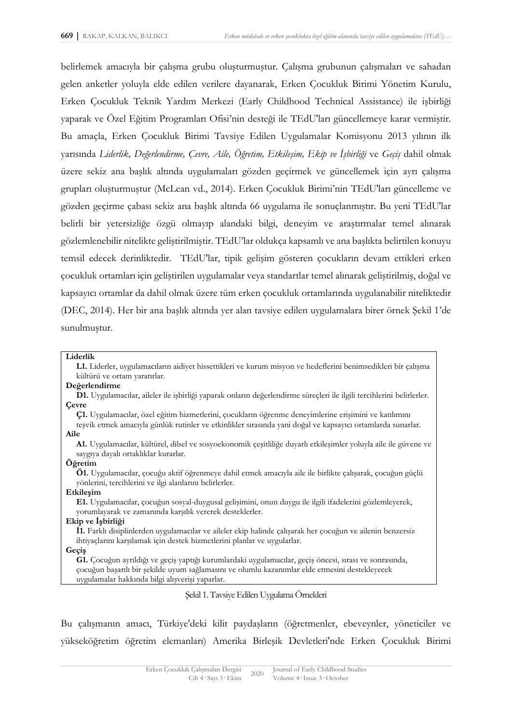belirlemek amacıyla bir çalışma grubu oluşturmuştur. Çalışma grubunun çalışmaları ve sahadan gelen anketler yoluyla elde edilen verilere dayanarak, Erken Çocukluk Birimi Yönetim Kurulu, Erken Çocukluk Teknik Yardım Merkezi (Early Childhood Technical Assistance) ile işbirliği yaparak ve Özel Eğitim Programları Ofisi'nin desteği ile TEdU'ları güncellemeye karar vermiştir. Bu amaçla, Erken Çocukluk Birimi Tavsiye Edilen Uygulamalar Komisyonu 2013 yılının ilk yarısında *Liderlik, Değerlendirme, Çevre, Aile, Öğretim, Etkileşim, Ekip ve İşbirliği* ve *Geçiş* dahil olmak üzere sekiz ana başlık altında uygulamaları gözden geçirmek ve güncellemek için ayrı çalışma grupları oluşturmuştur (McLean vd., 2014). Erken Çocukluk Birimi'nin TEdU'ları güncelleme ve gözden geçirme çabası sekiz ana başlık altında 66 uygulama ile sonuçlanmıştır. Bu yeni TEdU'lar belirli bir yetersizliğe özgü olmayıp alandaki bilgi, deneyim ve araştırmalar temel alınarak gözlemlenebilir nitelikte geliştirilmiştir. TEdU'lar oldukça kapsamlı ve ana başlıkta belirtilen konuyu temsil edecek derinliktedir. TEdU'lar, tipik gelişim gösteren çocukların devam ettikleri erken çocukluk ortamları için geliştirilen uygulamalar veya standartlar temel alınarak geliştirilmiş, doğal ve kapsayıcı ortamlar da dahil olmak üzere tüm erken çocukluk ortamlarında uygulanabilir niteliktedir (DEC, 2014). Her bir ana başlık altında yer alan tavsiye edilen uygulamalara birer örnek Şekil 1'de sunulmuştur.

#### **Liderlik**

**L1.** Liderler, uygulamacıların aidiyet hissettikleri ve kurum misyon ve hedeflerini benimsedikleri bir çalışma kültürü ve ortam yaratırlar.

#### **Değerlendirme**

**D1.** Uygulamacılar, aileler ile işbirliği yaparak onların değerlendirme süreçleri ile ilgili tercihlerini belirlerler. **Çevre**

**Ç1.** Uygulamacılar, özel eğitim hizmetlerini, çocukların öğrenme deneyimlerine erişimini ve katılımını

teşvik etmek amacıyla günlük rutinler ve etkinlikler sırasında yani doğal ve kapsayıcı ortamlarda sunarlar. **Aile**

**A1.** Uygulamacılar, kültürel, dilsel ve sosyoekonomik çeşitliliğe duyarlı etkileşimler yoluyla aile ile güvene ve saygıya dayalı ortaklıklar kurarlar.

#### **Öğretim**

**Ö1.** Uygulamacılar, çocuğu aktif öğrenmeye dahil etmek amacıyla aile ile birlikte çalışarak, çocuğun güçlü yönlerini, tercihlerini ve ilgi alanlarını belirlerler.

#### **Etkileşim**

**E1.** Uygulamacılar, çocuğun sosyal-duygusal gelişimini, onun duygu ile ilgili ifadelerini gözlemleyerek, yorumlayarak ve zamanında karşılık vererek desteklerler.

#### **Ekip ve İşbirliği**

**İ1.** Farklı disiplinlerden uygulamacılar ve aileler ekip halinde çalışarak her çocuğun ve ailenin benzersiz ihtiyaçlarını karşılamak için destek hizmetlerini planlar ve uygularlar.

#### **Geçiş**

**G1.** Çocuğun ayrıldığı ve geçiş yaptığı kurumlardaki uygulamacılar, geçiş öncesi, sırası ve sonrasında, çocuğun başarılı bir şekilde uyum sağlamasını ve olumlu kazanımlar elde etmesini destekleyecek uygulamalar hakkında bilgi alışverişi yaparlar.

Şekil 1. Tavsiye Edilen Uygulama Örnekleri

Bu çalışmanın amacı, Türkiye'deki kilit paydaşların (öğretmenler, ebeveynler, yöneticiler ve yükseköğretim öğretim elemanları) Amerika Birleşik Devletleri'nde Erken Çocukluk Birimi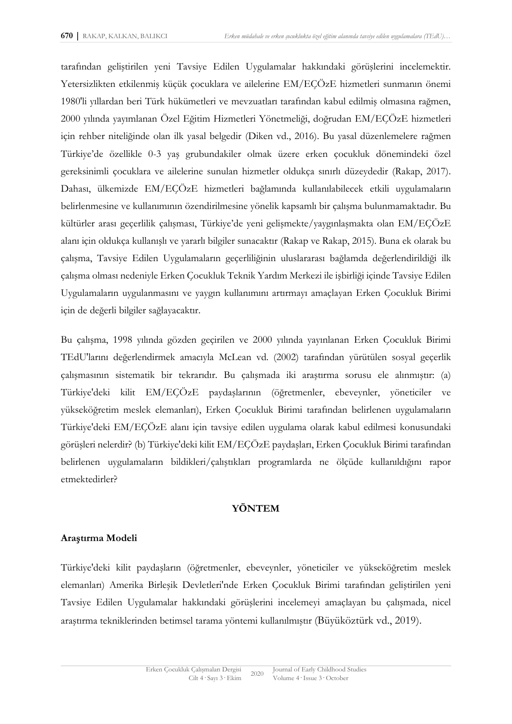tarafından geliştirilen yeni Tavsiye Edilen Uygulamalar hakkındaki görüşlerini incelemektir. Yetersizlikten etkilenmiş küçük çocuklara ve ailelerine EM/EÇÖzE hizmetleri sunmanın önemi 1980'li yıllardan beri Türk hükümetleri ve mevzuatları tarafından kabul edilmiş olmasına rağmen, 2000 yılında yayımlanan Özel Eğitim Hizmetleri Yönetmeliği, doğrudan EM/EÇÖzE hizmetleri için rehber niteliğinde olan ilk yasal belgedir (Diken vd., 2016). Bu yasal düzenlemelere rağmen Türkiye'de özellikle 0-3 yaş grubundakiler olmak üzere erken çocukluk dönemindeki özel gereksinimli çocuklara ve ailelerine sunulan hizmetler oldukça sınırlı düzeydedir (Rakap, 2017). Dahası, ülkemizde EM/EÇÖzE hizmetleri bağlamında kullanılabilecek etkili uygulamaların belirlenmesine ve kullanımının özendirilmesine yönelik kapsamlı bir çalışma bulunmamaktadır. Bu kültürler arası geçerlilik çalışması, Türkiye'de yeni gelişmekte/yaygınlaşmakta olan EM/EÇÖzE alanı için oldukça kullanışlı ve yararlı bilgiler sunacaktır (Rakap ve Rakap, 2015). Buna ek olarak bu çalışma, Tavsiye Edilen Uygulamaların geçerliliğinin uluslararası bağlamda değerlendirildiği ilk çalışma olması nedeniyle Erken Çocukluk Teknik Yardım Merkezi ile işbirliği içinde Tavsiye Edilen Uygulamaların uygulanmasını ve yaygın kullanımını artırmayı amaçlayan Erken Çocukluk Birimi için de değerli bilgiler sağlayacaktır.

Bu çalışma, 1998 yılında gözden geçirilen ve 2000 yılında yayınlanan Erken Çocukluk Birimi TEdU'larını değerlendirmek amacıyla McLean vd. (2002) tarafından yürütülen sosyal geçerlik çalışmasının sistematik bir tekrarıdır. Bu çalışmada iki araştırma sorusu ele alınmıştır: (a) Türkiye'deki kilit EM/EÇÖzE paydaşlarının (öğretmenler, ebeveynler, yöneticiler ve yükseköğretim meslek elemanları), Erken Çocukluk Birimi tarafından belirlenen uygulamaların Türkiye'deki EM/EÇÖzE alanı için tavsiye edilen uygulama olarak kabul edilmesi konusundaki görüşleri nelerdir? (b) Türkiye'deki kilit EM/EÇÖzE paydaşları, Erken Çocukluk Birimi tarafından belirlenen uygulamaların bildikleri/çalıştıkları programlarda ne ölçüde kullanıldığını rapor etmektedirler?

# **YÖNTEM**

# **Araştırma Modeli**

Türkiye'deki kilit paydaşların (öğretmenler, ebeveynler, yöneticiler ve yükseköğretim meslek elemanları) Amerika Birleşik Devletleri'nde Erken Çocukluk Birimi tarafından geliştirilen yeni Tavsiye Edilen Uygulamalar hakkındaki görüşlerini incelemeyi amaçlayan bu çalışmada, nicel araştırma tekniklerinden betimsel tarama yöntemi kullanılmıştır (Büyüköztürk vd., 2019).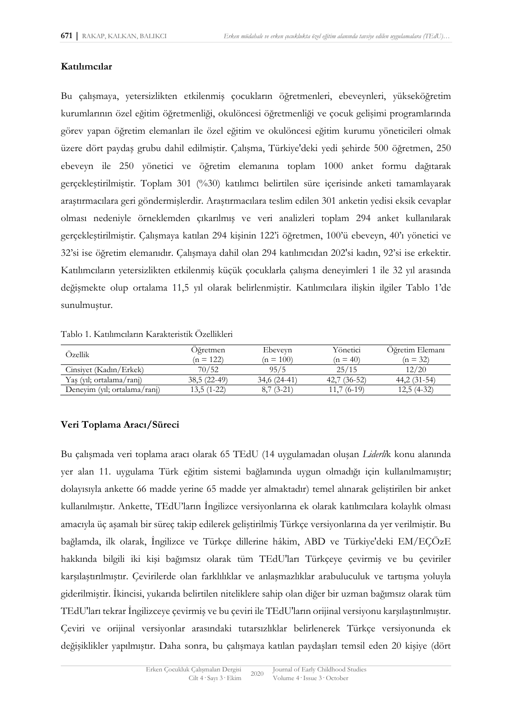### **Katılımcılar**

Bu çalışmaya, yetersizlikten etkilenmiş çocukların öğretmenleri, ebeveynleri, yükseköğretim kurumlarının özel eğitim öğretmenliği, okulöncesi öğretmenliği ve çocuk gelişimi programlarında görev yapan öğretim elemanları ile özel eğitim ve okulöncesi eğitim kurumu yöneticileri olmak üzere dört paydaş grubu dahil edilmiştir. Çalışma, Türkiye'deki yedi şehirde 500 öğretmen, 250 ebeveyn ile 250 yönetici ve öğretim elemanına toplam 1000 anket formu dağıtarak gerçekleştirilmiştir. Toplam 301 (%30) katılımcı belirtilen süre içerisinde anketi tamamlayarak araştırmacılara geri göndermişlerdir. Araştırmacılara teslim edilen 301 anketin yedisi eksik cevaplar olması nedeniyle örneklemden çıkarılmış ve veri analizleri toplam 294 anket kullanılarak gerçekleştirilmiştir. Çalışmaya katılan 294 kişinin 122'i öğretmen, 100'ü ebeveyn, 40'ı yönetici ve 32'si ise öğretim elemanıdır. Çalışmaya dahil olan 294 katılımcıdan 202'si kadın, 92'si ise erkektir. Katılımcıların yetersizlikten etkilenmiş küçük çocuklarla çalışma deneyimleri 1 ile 32 yıl arasında değişmekte olup ortalama 11,5 yıl olarak belirlenmiştir. Katılımcılara ilişkin ilgiler Tablo 1'de sunulmuştur.

| Tablo 1. Katılımcıların Karakteristik Özellikleri |
|---------------------------------------------------|
|                                                   |

| Ozellik                      | Oğretmen<br>$(n = 122)$ | Ebeveyn<br>$(n = 100)$ | Yönetici<br>$(n = 40)$ | Oğretim Elemanı<br>$(n = 32)$ |
|------------------------------|-------------------------|------------------------|------------------------|-------------------------------|
| Cinsivet (Kadın/Erkek)       | 70/52                   | 95/5                   | 25/15                  | 12/20                         |
| Yas (yil; ortalama/ranj)     | $38,5(22-49)$           | 34,6 (24-41)           | $42.7(36-52)$          | $44,2(31-54)$                 |
| Deneyim (yıl; ortalama/ranj) | $13,5(1-22)$            | $8,7(3-21)$            | $11,7(6-19)$           | $12,5(4-32)$                  |

# **Veri Toplama Aracı/Süreci**

Bu çalışmada veri toplama aracı olarak 65 TEdU (14 uygulamadan oluşan *Liderli*k konu alanında yer alan 11. uygulama Türk eğitim sistemi bağlamında uygun olmadığı için kullanılmamıştır; dolayısıyla ankette 66 madde yerine 65 madde yer almaktadır) temel alınarak geliştirilen bir anket kullanılmıştır. Ankette, TEdU'ların İngilizce versiyonlarına ek olarak katılımcılara kolaylık olması amacıyla üç aşamalı bir süreç takip edilerek geliştirilmiş Türkçe versiyonlarına da yer verilmiştir. Bu bağlamda, ilk olarak, İngilizce ve Türkçe dillerine hâkim, ABD ve Türkiye'deki EM/EÇÖzE hakkında bilgili iki kişi bağımsız olarak tüm TEdU'ları Türkçeye çevirmiş ve bu çeviriler karşılaştırılmıştır. Çevirilerde olan farklılıklar ve anlaşmazlıklar arabuluculuk ve tartışma yoluyla giderilmiştir. İkincisi, yukarıda belirtilen niteliklere sahip olan diğer bir uzman bağımsız olarak tüm TEdU'ları tekrar İngilizceye çevirmiş ve bu çeviri ile TEdU'ların orijinal versiyonu karşılaştırılmıştır. Çeviri ve orijinal versiyonlar arasındaki tutarsızlıklar belirlenerek Türkçe versiyonunda ek değişiklikler yapılmıştır. Daha sonra, bu çalışmaya katılan paydaşları temsil eden 20 kişiye (dört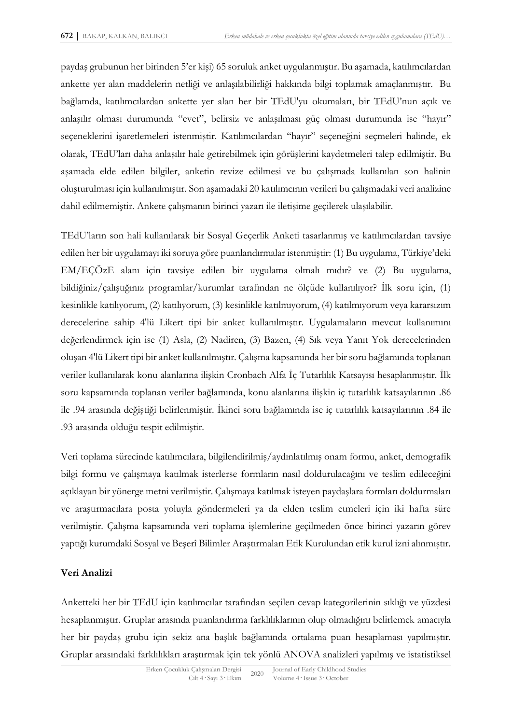paydaş grubunun her birinden 5'er kişi) 65 soruluk anket uygulanmıştır. Bu aşamada, katılımcılardan ankette yer alan maddelerin netliği ve anlaşılabilirliği hakkında bilgi toplamak amaçlanmıştır. Bu bağlamda, katılımcılardan ankette yer alan her bir TEdU'yu okumaları, bir TEdU'nun açık ve anlaşılır olması durumunda "evet", belirsiz ve anlaşılması güç olması durumunda ise "hayır" seçeneklerini işaretlemeleri istenmiştir. Katılımcılardan "hayır" seçeneğini seçmeleri halinde, ek olarak, TEdU'ları daha anlaşılır hale getirebilmek için görüşlerini kaydetmeleri talep edilmiştir. Bu aşamada elde edilen bilgiler, anketin revize edilmesi ve bu çalışmada kullanılan son halinin oluşturulması için kullanılmıştır. Son aşamadaki 20 katılımcının verileri bu çalışmadaki veri analizine dahil edilmemiştir. Ankete çalışmanın birinci yazarı ile iletişime geçilerek ulaşılabilir.

TEdU'ların son hali kullanılarak bir Sosyal Geçerlik Anketi tasarlanmış ve katılımcılardan tavsiye edilen her bir uygulamayı iki soruya göre puanlandırmalar istenmiştir: (1) Bu uygulama, Türkiye'deki EM/EÇÖzE alanı için tavsiye edilen bir uygulama olmalı mıdır? ve (2) Bu uygulama, bildiğiniz/çalıştığınız programlar/kurumlar tarafından ne ölçüde kullanılıyor? İlk soru için, (1) kesinlikle katılıyorum, (2) katılıyorum, (3) kesinlikle katılmıyorum, (4) katılmıyorum veya kararsızım derecelerine sahip 4'lü Likert tipi bir anket kullanılmıştır. Uygulamaların mevcut kullanımını değerlendirmek için ise (1) Asla, (2) Nadiren, (3) Bazen, (4) Sık veya Yanıt Yok derecelerinden oluşan 4'lü Likert tipi bir anket kullanılmıştır. Çalışma kapsamında her bir soru bağlamında toplanan veriler kullanılarak konu alanlarına ilişkin Cronbach Alfa İç Tutarlılık Katsayısı hesaplanmıştır. İlk soru kapsamında toplanan veriler bağlamında, konu alanlarına ilişkin iç tutarlılık katsayılarının .86 ile .94 arasında değiştiği belirlenmiştir. İkinci soru bağlamında ise iç tutarlılık katsayılarının .84 ile .93 arasında olduğu tespit edilmiştir.

Veri toplama sürecinde katılımcılara, bilgilendirilmiş/aydınlatılmış onam formu, anket, demografik bilgi formu ve çalışmaya katılmak isterlerse formların nasıl doldurulacağını ve teslim edileceğini açıklayan bir yönerge metni verilmiştir. Çalışmaya katılmak isteyen paydaşlara formları doldurmaları ve araştırmacılara posta yoluyla göndermeleri ya da elden teslim etmeleri için iki hafta süre verilmiştir. Çalışma kapsamında veri toplama işlemlerine geçilmeden önce birinci yazarın görev yaptığı kurumdaki Sosyal ve Beşerî Bilimler Araştırmaları Etik Kurulundan etik kurul izni alınmıştır.

# **Veri Analizi**

Anketteki her bir TEdU için katılımcılar tarafından seçilen cevap kategorilerinin sıklığı ve yüzdesi hesaplanmıştır. Gruplar arasında puanlandırma farklılıklarının olup olmadığını belirlemek amacıyla her bir paydaş grubu için sekiz ana başlık bağlamında ortalama puan hesaplaması yapılmıştır. Gruplar arasındaki farklılıkları araştırmak için tek yönlü ANOVA analizleri yapılmış ve istatistiksel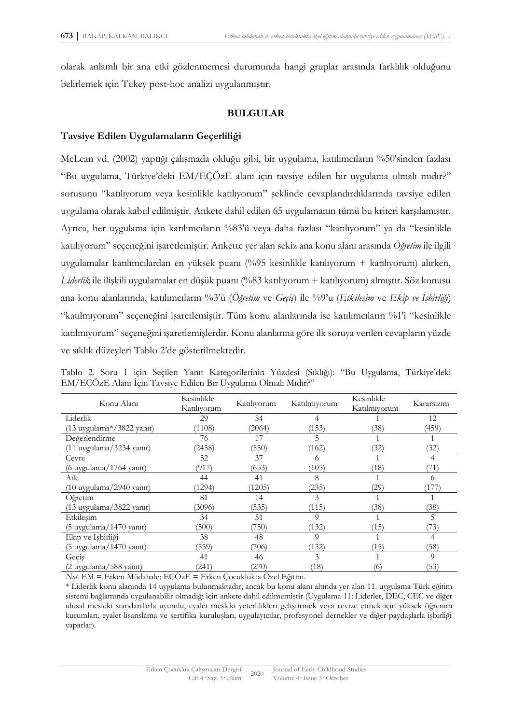olarak anlamlı bir ana etki gözlenmemesi durumunda hangi gruplar arasında farklılık olduğunu belirlemek için Tukey post-hoc analizi uygulanmıştır.

# **BULGULAR**

# **Tavsiye Edilen Uygulamaların Geçerliliği**

McLean vd. (2002) yaptığı çalışmada olduğu gibi, bir uygulama, katılımcıların %50'sinden fazlası "Bu uygulama, Türkiye'deki EM/EÇÖzE alanı için tavsiye edilen bir uygulama olmalı mıdır?" sorusunu "katılıyorum veya kesinlikle katılıyorum" şeklinde cevaplandırdıklarında tavsiye edilen uygulama olarak kabul edilmiştir. Ankete dahil edilen 65 uygulamanın tümü bu kriteri karşılamıştır. Ayrıca, her uygulama için katılımcıların %83'ü veya daha fazlası "katılıyorum" ya da "kesinlikle katılıyorum" seçeneğini işaretlemiştir. Ankette yer alan sekiz ana konu alanı arasında *Öğretim* ile ilgili uygulamalar katılımcılardan en yüksek puanı (%95 kesinlikle katılıyorum + katılıyorum) alırken, *Liderlik* ile ilişkili uygulamalar en düşük puanı (%83 katılıyorum + katılıyorum) almıştır. Söz konusu ana konu alanlarında, katılımcıların %3'ü (*Öğretim* ve *Geçiş*) ile %9'u (*Etkileşim* ve *Ekip ve İşbirliği*) "katılmıyorum" seçeneğini işaretlemiştir. Tüm konu alanlarında ise katılımcıların %1'i "kesinlikle katılmıyorum" seçeneğini işaretlemişlerdir. Konu alanlarına göre ilk soruya verilen cevapların yüzde ve sıklık düzeyleri Tablo 2'de gösterilmektedir.

| Konu Alanı                             | Kesinlikle<br>Katılıyorum | Katılıyorum | Katılmıyorum | Kesinlikle<br>Katılmıyorum | Kararsızım |
|----------------------------------------|---------------------------|-------------|--------------|----------------------------|------------|
| Liderlik                               | 29                        | 54          | 4            |                            | 12         |
| $(13$ uygulama*/3822 yanıt)            | (1108)                    | (2064)      | (153)        | (38)                       | (459)      |
| Değerlendirme                          | 76                        | 17          | כ.           |                            |            |
| $(11$ uygulama $/3234$ yanıt)          | (2458)                    | (550)       | (162)        | (32)                       | (32)       |
| Cevre                                  | 52                        | 37          | 6            |                            |            |
| $(6 \t{ uygulama} / 1764 \t{ yanti} )$ | (917)                     | (653)       | (105)        | (18)                       | (71)       |
| Aile                                   | 44                        | 41          | 8            |                            | 6          |
| (10 uygulama/2940 yanıt)               | (1294)                    | (1205)      | (235)        | (29)                       | (177)      |
| Oğretim                                | 81                        | 14          | 3            |                            |            |
| (13 uygulama/3822 yanıt)               | (3096)                    | (535)       | (115)        | (38)                       | (38)       |
| Etkileşim                              | 34                        | 51          | 9            |                            | 5          |
| (5 uygulama/1470 yanıt)                | (500)                     | (750)       | (132)        | (15)                       | (73)       |
| Ekip ve İşbirliği                      | 38                        | 48          | 9            |                            | 4          |
| (5 uygulama/1470 yanıt)                | (559)                     | 706)        | (132)        | (15)                       | (58)       |
| Geçiş                                  | 41                        | 46          | 3            |                            | 9          |
| (2 uygulama/588 yanıt)                 | (241)                     | (270)       | (18)         | (6)                        | (53)       |

Tablo 2. Soru 1 için Seçilen Yanıt Kategorilerinin Yüzdesi (Sıklığı): "Bu Uygulama, Türkiye'deki EM/EÇÖzE Alanı İçin Tavsiye Edilen Bir Uygulama Olmalı Mıdır?"

*Not.* EM = Erken Müdahale; EÇÖzE = Erken Çocuklukta Özel Eğitim.

\* Liderlik konu alanında 14 uygulama bulunmaktadır; ancak bu konu alanı altında yer alan 11. uygulama Türk eğitim sistemi bağlamında uygulanabilir olmadığı için ankete dahil edilmemiştir (Uygulama 11: Liderler, DEC, CEC ve diğer ulusal mesleki standartlarla uyumlu, eyalet mesleki yeterlilikleri geliştirmek veya revize etmek için yüksek öğrenim kurumları, eyalet lisanslama ve sertifika kuruluşları, uygulayıcılar, profesyonel dernekler ve diğer paydaşlarla işbirliği yaparlar).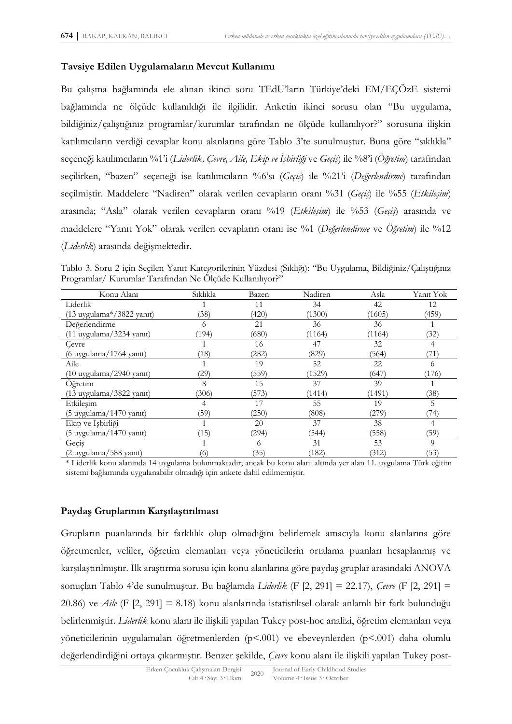# **Tavsiye Edilen Uygulamaların Mevcut Kullanımı**

Bu çalışma bağlamında ele alınan ikinci soru TEdU'ların Türkiye'deki EM/EÇÖzE sistemi bağlamında ne ölçüde kullanıldığı ile ilgilidir. Anketin ikinci sorusu olan "Bu uygulama, bildiğiniz/çalıştığınız programlar/kurumlar tarafından ne ölçüde kullanılıyor?" sorusuna ilişkin katılımcıların verdiği cevaplar konu alanlarına göre Tablo 3'te sunulmuştur. Buna göre "sıklıkla" seçeneği katılımcıların %1'i (*Liderlik, Çevre, Aile, Ekip ve İşbirliği* ve *Geçiş*) ile %8'i (*Öğretim*) tarafından seçilirken, "bazen" seçeneği ise katılımcıların %6'sı (*Geçiş*) ile %21'i (*Değerlendirme*) tarafından seçilmiştir. Maddelere "Nadiren" olarak verilen cevapların oranı %31 (*Geçiş*) ile %55 (*Etkileşim*) arasında; "Asla" olarak verilen cevapların oranı %19 (*Etkileşim*) ile %53 (*Geçiş*) arasında ve maddelere "Yanıt Yok" olarak verilen cevapların oranı ise %1 (*Değerlendirme* ve *Öğretim*) ile %12 (*Liderlik*) arasında değişmektedir.

Tablo 3. Soru 2 için Seçilen Yanıt Kategorilerinin Yüzdesi (Sıklığı): "Bu Uygulama, Bildiğiniz/Çalıştığınız Programlar/ Kurumlar Tarafından Ne Ölçüde Kullanılıyor?"

| Konu Alanı                          | Siklikla | Bazen | Nadiren | Asla   | Yanıt Yok |
|-------------------------------------|----------|-------|---------|--------|-----------|
| Liderlik                            |          | 11    | 34      | 42     | 12        |
| $(13 \t{uygulama*}/3822 \t{yant})$  | (38)     | (420) | (1300)  | (1605) | (459)     |
| Değerlendirme                       | 6        | 21    | 36      | 36     |           |
| $(11$ uygulama $/3234$ yanıt)       | (194)    | (680) | (1164)  | (1164) | (32)      |
| Cevre                               |          | 16    | 47      | 32     | 4         |
| (6 uygulama/1764 yanıt)             | (18)     | (282) | (829)   | (564)  | (71)      |
| Aile                                |          | 19    | 52      | 22     | 6         |
| $(10 \t{uygulama}/2940 \t{yanti})$  | 29)      | (559) | (1529)  | (647)  | (176)     |
| Öğretim                             | 8        | 15    | 37      | 39     |           |
| (13 uygulama/3822 yanıt)            | (306)    | (573) | (1414)  | (1491) | (38)      |
| Etkileşim                           |          | 17    | 55      | 19     | 5         |
| $(5 \t{ uygulama}/1470 \t{ yanti})$ | (59)     | (250) | (808)   | (279)  | 74)       |
| Ekip ve İşbirliği                   |          | 20    | 37      | 38     | 4         |
| (5 uygulama/1470 yanıt)             | (15)     | (294) | (544)   | (558)  | (59)      |
| Geçiş                               |          | 6     | 31      | 53     | 9         |
| (2 uygulama/588 yanıt)              | (6)      | (35)  | (182)   | (312)  | (53)      |

\* Liderlik konu alanında 14 uygulama bulunmaktadır; ancak bu konu alanı altında yer alan 11. uygulama Türk eğitim sistemi bağlamında uygulanabilir olmadığı için ankete dahil edilmemiştir.

### **Paydaş Gruplarının Karşılaştırılması**

Grupların puanlarında bir farklılık olup olmadığını belirlemek amacıyla konu alanlarına göre öğretmenler, veliler, öğretim elemanları veya yöneticilerin ortalama puanları hesaplanmış ve karşılaştırılmıştır. İlk araştırma sorusu için konu alanlarına göre paydaş gruplar arasındaki ANOVA sonuçları Tablo 4'de sunulmuştur. Bu bağlamda *Liderlik* (F [2, 291] = 22.17), *Çevre* (F [2, 291] = 20.86) ve *Aile* (F [2, 291] = 8.18) konu alanlarında istatistiksel olarak anlamlı bir fark bulunduğu belirlenmiştir. *Liderlik* konu alanı ile ilişkili yapılan Tukey post-hoc analizi, öğretim elemanları veya yöneticilerinin uygulamaları öğretmenlerden (p<.001) ve ebeveynlerden (p<.001) daha olumlu değerlendirdiğini ortaya çıkarmıştır. Benzer şekilde, *Çevre* konu alanı ile ilişkili yapılan Tukey post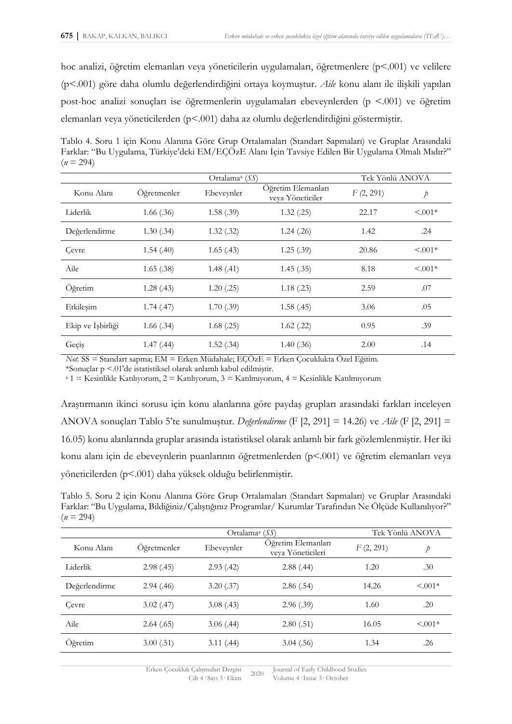hoc analizi, öğretim elemanları veya yöneticilerin uygulamaları, öğretmenlere (p<.001) ve velilere (p<.001) göre daha olumlu değerlendirdiğini ortaya koymuştur. *Aile* konu alanı ile ilişkili yapılan post-hoc analizi sonuçları ise öğretmenlerin uygulamaları ebeveynlerden (p <.001) ve öğretim elemanları veya yöneticilerden (p<.001) daha az olumlu değerlendirdiğini göstermiştir.

Tablo 4. Soru 1 için Konu Alanına Göre Grup Ortalamaları (Standart Sapmaları) ve Gruplar Arasındaki Farklar: "Bu Uygulama, Türkiye'deki EM/EÇÖzE Alanı İçin Tavsiye Edilen Bir Uygulama Olmalı Mıdır?"  $(n = 294)$ 

| Ortalama <sup>a</sup> $(SS)$ |                |            | Tek Yönlü ANOVA                        |           |               |
|------------------------------|----------------|------------|----------------------------------------|-----------|---------------|
| Konu Alanı                   | Öğretmenler    | Ebeveynler | Öğretim Elemanları<br>veya Yöneticiler | F(2, 291) | $\mathcal{P}$ |
| Liderlik                     | $1.66$ $(.36)$ | 1.58(.39)  | 1.32(.25)                              | 22.17     | $< 0.001*$    |
| Değerlendirme                | 1.30(.34)      | 1.32(.32)  | 1.24(.26)                              | 1.42      | .24           |
| Cevre                        | 1.54(40)       | 1.65(43)   | 1.25(.39)                              | 20.86     | $< 0.001*$    |
| Aile                         | 1.65(.38)      | 1.48(.41)  | 1.45(.35)                              | 8.18      | $< 0.001*$    |
| Öğretim                      | 1.28(0.43)     | 1.20(.25)  | 1.18(.23)                              | 2.59      | .07           |
| Etkileşim                    | 1.74(0.47)     | 1.70(.39)  | 1.58(.45)                              | 3.06      | .05           |
| Ekip ve İşbirliği            | 1.66(.34)      | 1.68(.25)  | $1.62$ (.22)                           | 0.95      | .39           |
| Geçiş                        | 1.47(0.44)     | 1.52(.34)  | 1.40(.36)                              | 2.00      | .14           |

*Not.* SS = Standart sapma; EM = Erken Müdahale; EÇÖzE = Erken Çocuklukta Özel Eğitim.

\*Sonuçlar p <.01'de istatistiksel olarak anlamlı kabul edilmiştir.

<sup>a</sup> 1 = Kesinlikle Katılıyorum, 2 = Katılıyorum, 3 = Katılmıyorum, 4 = Kesinlikle Katılmıyorum

Araştırmanın ikinci sorusu için konu alanlarına göre paydaş grupları arasındaki farkları inceleyen ANOVA sonuçları Tablo 5'te sunulmuştur. *Değerlendirme* (F [2, 291] = 14.26) ve *Aile* (F [2, 291] = 16.05) konu alanlarında gruplar arasında istatistiksel olarak anlamlı bir fark gözlemlenmiştir. Her iki konu alanı için de ebeveynlerin puanlarının öğretmenlerden (p<.001) ve öğretim elemanları veya yöneticilerden (p<.001) daha yüksek olduğu belirlenmiştir.

Tablo 5. Soru 2 için Konu Alanına Göre Grup Ortalamaları (Standart Sapmaları) ve Gruplar Arasındaki Farklar: "Bu Uygulama, Bildiğiniz/Çalıştığınız Programlar/ Kurumlar Tarafından Ne Ölçüde Kullanılıyor?"  $(n = 294)$ 

|               | Tek Yönlü ANOVA |            |                                         |           |           |
|---------------|-----------------|------------|-----------------------------------------|-----------|-----------|
| Konu Alanı    | Oğretmenler     | Ebeveynler | Oğretim Elemanları<br>veya Yöneticileri | F(2, 291) | Þ         |
| Liderlik      | 2.98(.45)       | 2.93(42)   | 2.88(.44)                               | 1.20      | .30       |
| Değerlendirme | 2.94(0.46)      | 3.20(.37)  | 2.86(.54)                               | 14.26     | $< 0.01*$ |
| Cevre         | 3.02(47)        | 3.08(43)   | 2.96(.39)                               | 1.60      | .20       |
| Aile          | 2.64(0.65)      | 3.06(44)   | 2.80(.51)                               | 16.05     | $< 0.01*$ |
| Oğretim       | 3.00(.51)       | 3.11(.44)  | 3.04(.56)                               | 1.34      | .26       |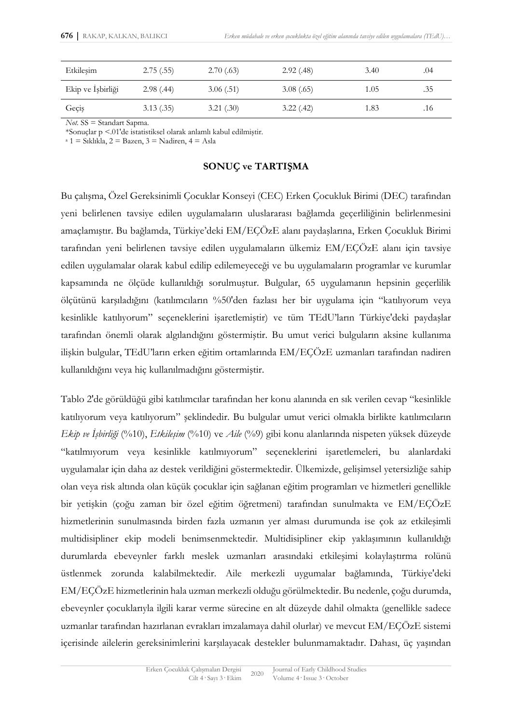| Etkilesim         | 2.75(.55)  | 2.70(0.63) | 2.92(0.48) | 3.40 | .04 |
|-------------------|------------|------------|------------|------|-----|
| Ekip ve İşbirliği | 2.98(.44)  | 3.06(.51)  | 3.08(0.65) | 1.05 | .35 |
| Geçiş             | 3.13(0.35) | 3.21(.30)  | 3.22(.42)  | 1.83 | .16 |

*Not.* SS = Standart Sapma.

\*Sonuçlar p <.01'de istatistiksel olarak anlamlı kabul edilmiştir.

 $a_1 = S_1$ klıkla,  $2 = B_2$ zen,  $3 = N_3$ adiren,  $4 = A_3$ la

# **SONUÇ ve TARTIŞMA**

Bu çalışma, Özel Gereksinimli Çocuklar Konseyi (CEC) Erken Çocukluk Birimi (DEC) tarafından yeni belirlenen tavsiye edilen uygulamaların uluslararası bağlamda geçerliliğinin belirlenmesini amaçlamıştır. Bu bağlamda, Türkiye'deki EM/EÇÖzE alanı paydaşlarına, Erken Çocukluk Birimi tarafından yeni belirlenen tavsiye edilen uygulamaların ülkemiz EM/EÇÖzE alanı için tavsiye edilen uygulamalar olarak kabul edilip edilemeyeceği ve bu uygulamaların programlar ve kurumlar kapsamında ne ölçüde kullanıldığı sorulmuştur. Bulgular, 65 uygulamanın hepsinin geçerlilik ölçütünü karşıladığını (katılımcıların %50'den fazlası her bir uygulama için "katılıyorum veya kesinlikle katılıyorum" seçeneklerini işaretlemiştir) ve tüm TEdU'ların Türkiye'deki paydaşlar tarafından önemli olarak algılandığını göstermiştir. Bu umut verici bulguların aksine kullanıma ilişkin bulgular, TEdU'ların erken eğitim ortamlarında EM/EÇÖzE uzmanları tarafından nadiren kullanıldığını veya hiç kullanılmadığını göstermiştir.

Tablo 2'de görüldüğü gibi katılımcılar tarafından her konu alanında en sık verilen cevap "kesinlikle katılıyorum veya katılıyorum" şeklindedir. Bu bulgular umut verici olmakla birlikte katılımcıların *Ekip ve İşbirliği* (%10), *Etkileşim* (%10) ve *Aile* (%9) gibi konu alanlarında nispeten yüksek düzeyde "katılmıyorum veya kesinlikle katılmıyorum" seçeneklerini işaretlemeleri, bu alanlardaki uygulamalar için daha az destek verildiğini göstermektedir. Ülkemizde, gelişimsel yetersizliğe sahip olan veya risk altında olan küçük çocuklar için sağlanan eğitim programları ve hizmetleri genellikle bir yetişkin (çoğu zaman bir özel eğitim öğretmeni) tarafından sunulmakta ve EM/EÇÖzE hizmetlerinin sunulmasında birden fazla uzmanın yer alması durumunda ise çok az etkileşimli multidisipliner ekip modeli benimsenmektedir. Multidisipliner ekip yaklaşımının kullanıldığı durumlarda ebeveynler farklı meslek uzmanları arasındaki etkileşimi kolaylaştırma rolünü üstlenmek zorunda kalabilmektedir. Aile merkezli uygumalar bağlamında, Türkiye'deki EM/EÇÖzE hizmetlerinin hala uzman merkezli olduğu görülmektedir. Bu nedenle, çoğu durumda, ebeveynler çocuklarıyla ilgili karar verme sürecine en alt düzeyde dahil olmakta (genellikle sadece uzmanlar tarafından hazırlanan evrakları imzalamaya dahil olurlar) ve mevcut EM/EÇÖzE sistemi içerisinde ailelerin gereksinimlerini karşılayacak destekler bulunmamaktadır. Dahası, üç yaşından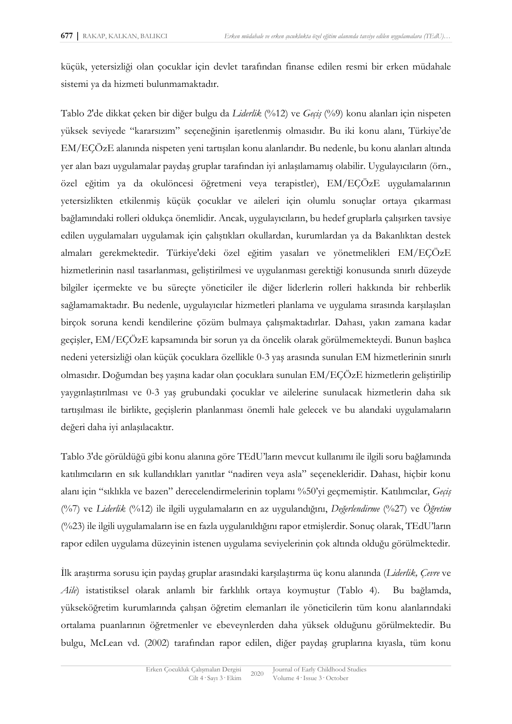küçük, yetersizliği olan çocuklar için devlet tarafından finanse edilen resmi bir erken müdahale sistemi ya da hizmeti bulunmamaktadır.

Tablo 2'de dikkat çeken bir diğer bulgu da *Liderlik* (%12) ve *Geçiş* (%9) konu alanları için nispeten yüksek seviyede "kararsızım" seçeneğinin işaretlenmiş olmasıdır. Bu iki konu alanı, Türkiye'de EM/EÇÖzE alanında nispeten yeni tartışılan konu alanlarıdır. Bu nedenle, bu konu alanları altında yer alan bazı uygulamalar paydaş gruplar tarafından iyi anlaşılamamış olabilir. Uygulayıcıların (örn., özel eğitim ya da okulöncesi öğretmeni veya terapistler), EM/EÇÖzE uygulamalarının yetersizlikten etkilenmiş küçük çocuklar ve aileleri için olumlu sonuçlar ortaya çıkarması bağlamındaki rolleri oldukça önemlidir. Ancak, uygulayıcıların, bu hedef gruplarla çalışırken tavsiye edilen uygulamaları uygulamak için çalıştıkları okullardan, kurumlardan ya da Bakanlıktan destek almaları gerekmektedir. Türkiye'deki özel eğitim yasaları ve yönetmelikleri EM/EÇÖzE hizmetlerinin nasıl tasarlanması, geliştirilmesi ve uygulanması gerektiği konusunda sınırlı düzeyde bilgiler içermekte ve bu süreçte yöneticiler ile diğer liderlerin rolleri hakkında bir rehberlik sağlamamaktadır. Bu nedenle, uygulayıcılar hizmetleri planlama ve uygulama sırasında karşılaşılan birçok soruna kendi kendilerine çözüm bulmaya çalışmaktadırlar. Dahası, yakın zamana kadar geçişler, EM/EÇÖzE kapsamında bir sorun ya da öncelik olarak görülmemekteydi. Bunun başlıca nedeni yetersizliği olan küçük çocuklara özellikle 0-3 yaş arasında sunulan EM hizmetlerinin sınırlı olmasıdır. Doğumdan beş yaşına kadar olan çocuklara sunulan EM/EÇÖzE hizmetlerin geliştirilip yaygınlaştırılması ve 0-3 yaş grubundaki çocuklar ve ailelerine sunulacak hizmetlerin daha sık tartışılması ile birlikte, geçişlerin planlanması önemli hale gelecek ve bu alandaki uygulamaların değeri daha iyi anlaşılacaktır.

Tablo 3'de görüldüğü gibi konu alanına göre TEdU'ların mevcut kullanımı ile ilgili soru bağlamında katılımcıların en sık kullandıkları yanıtlar "nadiren veya asla" seçenekleridir. Dahası, hiçbir konu alanı için "sıklıkla ve bazen" derecelendirmelerinin toplamı %50'yi geçmemiştir. Katılımcılar, *Geçiş* (%7) ve *Liderlik* (%12) ile ilgili uygulamaların en az uygulandığını, *Değerlendirme* (%27) ve *Öğretim* (%23) ile ilgili uygulamaların ise en fazla uygulanıldığını rapor etmişlerdir. Sonuç olarak, TEdU'ların rapor edilen uygulama düzeyinin istenen uygulama seviyelerinin çok altında olduğu görülmektedir.

İlk araştırma sorusu için paydaş gruplar arasındaki karşılaştırma üç konu alanında (*Liderlik, Çevre* ve *Aile*) istatistiksel olarak anlamlı bir farklılık ortaya koymuştur (Tablo 4). Bu bağlamda, yükseköğretim kurumlarında çalışan öğretim elemanları ile yöneticilerin tüm konu alanlarındaki ortalama puanlarının öğretmenler ve ebeveynlerden daha yüksek olduğunu görülmektedir. Bu bulgu, McLean vd. (2002) tarafından rapor edilen, diğer paydaş gruplarına kıyasla, tüm konu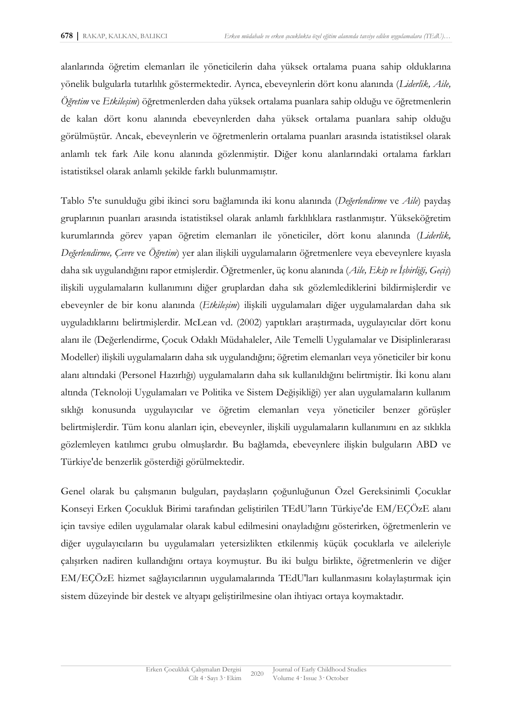alanlarında öğretim elemanları ile yöneticilerin daha yüksek ortalama puana sahip olduklarına yönelik bulgularla tutarlılık göstermektedir. Ayrıca, ebeveynlerin dört konu alanında (*Liderlik, Aile, Öğretim* ve *Etkileşim*) öğretmenlerden daha yüksek ortalama puanlara sahip olduğu ve öğretmenlerin de kalan dört konu alanında ebeveynlerden daha yüksek ortalama puanlara sahip olduğu görülmüştür. Ancak, ebeveynlerin ve öğretmenlerin ortalama puanları arasında istatistiksel olarak anlamlı tek fark Aile konu alanında gözlenmiştir. Diğer konu alanlarındaki ortalama farkları istatistiksel olarak anlamlı şekilde farklı bulunmamıştır.

Tablo 5'te sunulduğu gibi ikinci soru bağlamında iki konu alanında (*Değerlendirme* ve *Aile*) paydaş gruplarının puanları arasında istatistiksel olarak anlamlı farklılıklara rastlanmıştır. Yükseköğretim kurumlarında görev yapan öğretim elemanları ile yöneticiler, dört konu alanında (*Liderlik, Değerlendirme, Çevre* ve *Öğretim*) yer alan ilişkili uygulamaların öğretmenlere veya ebeveynlere kıyasla daha sık uygulandığını rapor etmişlerdir. Öğretmenler, üç konu alanında (*Aile, Ekip ve İşbirliği, Geçiş*) ilişkili uygulamaların kullanımını diğer gruplardan daha sık gözlemlediklerini bildirmişlerdir ve ebeveynler de bir konu alanında (*Etkileşim*) ilişkili uygulamaları diğer uygulamalardan daha sık uyguladıklarını belirtmişlerdir. McLean vd. (2002) yaptıkları araştırmada, uygulayıcılar dört konu alanı ile (Değerlendirme, Çocuk Odaklı Müdahaleler, Aile Temelli Uygulamalar ve Disiplinlerarası Modeller) ilişkili uygulamaların daha sık uygulandığını; öğretim elemanları veya yöneticiler bir konu alanı altındaki (Personel Hazırlığı) uygulamaların daha sık kullanıldığını belirtmiştir. İki konu alanı altında (Teknoloji Uygulamaları ve Politika ve Sistem Değişikliği) yer alan uygulamaların kullanım sıklığı konusunda uygulayıcılar ve öğretim elemanları veya yöneticiler benzer görüşler belirtmişlerdir. Tüm konu alanları için, ebeveynler, ilişkili uygulamaların kullanımını en az sıklıkla gözlemleyen katılımcı grubu olmuşlardır. Bu bağlamda, ebeveynlere ilişkin bulguların ABD ve Türkiye'de benzerlik gösterdiği görülmektedir.

Genel olarak bu çalışmanın bulguları, paydaşların çoğunluğunun Özel Gereksinimli Çocuklar Konseyi Erken Çocukluk Birimi tarafından geliştirilen TEdU'ların Türkiye'de EM/EÇÖzE alanı için tavsiye edilen uygulamalar olarak kabul edilmesini onayladığını gösterirken, öğretmenlerin ve diğer uygulayıcıların bu uygulamaları yetersizlikten etkilenmiş küçük çocuklarla ve aileleriyle çalışırken nadiren kullandığını ortaya koymuştur. Bu iki bulgu birlikte, öğretmenlerin ve diğer EM/EÇÖzE hizmet sağlayıcılarının uygulamalarında TEdU'ları kullanmasını kolaylaştırmak için sistem düzeyinde bir destek ve altyapı geliştirilmesine olan ihtiyacı ortaya koymaktadır.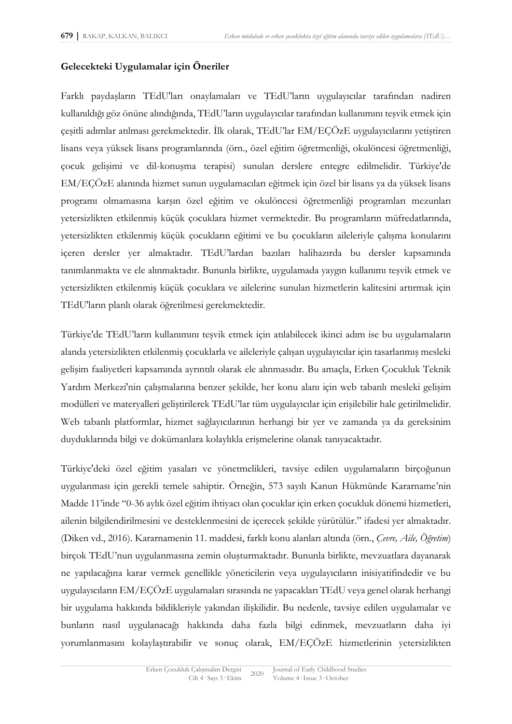# **Gelecekteki Uygulamalar için Öneriler**

Farklı paydaşların TEdU'ları onaylamaları ve TEdU'ların uygulayıcılar tarafından nadiren kullanıldığı göz önüne alındığında, TEdU'ların uygulayıcılar tarafından kullanımını teşvik etmek için çeşitli adımlar atılması gerekmektedir. İlk olarak, TEdU'lar EM/EÇÖzE uygulayıcılarını yetiştiren lisans veya yüksek lisans programlarında (örn., özel eğitim öğretmenliği, okulöncesi öğretmenliği, çocuk gelişimi ve dil-konuşma terapisi) sunulan derslere entegre edilmelidir. Türkiye'de EM/EÇÖzE alanında hizmet sunun uygulamacıları eğitmek için özel bir lisans ya da yüksek lisans programı olmamasına karşın özel eğitim ve okulöncesi öğretmenliği programları mezunları yetersizlikten etkilenmiş küçük çocuklara hizmet vermektedir. Bu programların müfredatlarında, yetersizlikten etkilenmiş küçük çocukların eğitimi ve bu çocukların aileleriyle çalışma konularını içeren dersler yer almaktadır. TEdU'lardan bazıları halihazırda bu dersler kapsamında tanımlanmakta ve ele alınmaktadır. Bununla birlikte, uygulamada yaygın kullanımı teşvik etmek ve yetersizlikten etkilenmiş küçük çocuklara ve ailelerine sunulan hizmetlerin kalitesini artırmak için TEdU'ların planlı olarak öğretilmesi gerekmektedir.

Türkiye'de TEdU'ların kullanımını teşvik etmek için atılabilecek ikinci adım ise bu uygulamaların alanda yetersizlikten etkilenmiş çocuklarla ve aileleriyle çalışan uygulayıcılar için tasarlanmış mesleki gelişim faaliyetleri kapsamında ayrıntılı olarak ele alınmasıdır. Bu amaçla, Erken Çocukluk Teknik Yardım Merkezi'nin çalışmalarına benzer şekilde, her konu alanı için web tabanlı mesleki gelişim modülleri ve materyalleri geliştirilerek TEdU'lar tüm uygulayıcılar için erişilebilir hale getirilmelidir. Web tabanlı platformlar, hizmet sağlayıcılarının herhangi bir yer ve zamanda ya da gereksinim duyduklarında bilgi ve dokümanlara kolaylıkla erişmelerine olanak tanıyacaktadır.

Türkiye'deki özel eğitim yasaları ve yönetmelikleri, tavsiye edilen uygulamaların birçoğunun uygulanması için gerekli temele sahiptir. Örneğin, 573 sayılı Kanun Hükmünde Kararname'nin Madde 11'inde "0-36 aylık özel eğitim ihtiyacı olan çocuklar için erken çocukluk dönemi hizmetleri, ailenin bilgilendirilmesini ve desteklenmesini de içerecek şekilde yürütülür." ifadesi yer almaktadır. (Diken vd., 2016). Kararnamenin 11. maddesi, farklı konu alanları altında (örn., *Çevre, Aile, Öğretim*) birçok TEdU'nun uygulanmasına zemin oluşturmaktadır. Bununla birlikte, mevzuatlara dayanarak ne yapılacağına karar vermek genellikle yöneticilerin veya uygulayıcıların inisiyatifindedir ve bu uygulayıcıların EM/EÇÖzE uygulamaları sırasında ne yapacakları TEdU veya genel olarak herhangi bir uygulama hakkında bildikleriyle yakından ilişkilidir. Bu nedenle, tavsiye edilen uygulamalar ve bunların nasıl uygulanacağı hakkında daha fazla bilgi edinmek, mevzuatların daha iyi yorumlanmasını kolaylaştırabilir ve sonuç olarak, EM/EÇÖzE hizmetlerinin yetersizlikten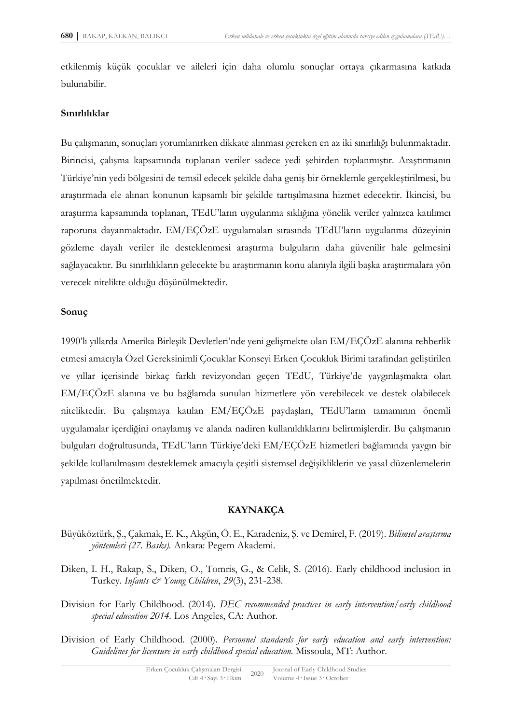etkilenmiş küçük çocuklar ve aileleri için daha olumlu sonuçlar ortaya çıkarmasına katkıda bulunabilir.

### **Sınırlılıklar**

Bu çalışmanın, sonuçları yorumlanırken dikkate alınması gereken en az iki sınırlılığı bulunmaktadır. Birincisi, çalışma kapsamında toplanan veriler sadece yedi şehirden toplanmıştır. Araştırmanın Türkiye'nin yedi bölgesini de temsil edecek şekilde daha geniş bir örneklemle gerçekleştirilmesi, bu araştırmada ele alınan konunun kapsamlı bir şekilde tartışılmasına hizmet edecektir. İkincisi, bu araştırma kapsamında toplanan, TEdU'ların uygulanma sıklığına yönelik veriler yalnızca katılımcı raporuna dayanmaktadır. EM/EÇÖzE uygulamaları sırasında TEdU'ların uygulanma düzeyinin gözleme dayalı veriler ile desteklenmesi araştırma bulguların daha güvenilir hale gelmesini sağlayacaktır. Bu sınırlılıkların gelecekte bu araştırmanın konu alanıyla ilgili başka araştırmalara yön verecek nitelikte olduğu düşünülmektedir.

### **Sonuç**

1990'lı yıllarda Amerika Birleşik Devletleri'nde yeni gelişmekte olan EM/EÇÖzE alanına rehberlik etmesi amacıyla Özel Gereksinimli Çocuklar Konseyi Erken Çocukluk Birimi tarafından geliştirilen ve yıllar içerisinde birkaç farklı revizyondan geçen TEdU, Türkiye'de yaygınlaşmakta olan EM/EÇÖzE alanına ve bu bağlamda sunulan hizmetlere yön verebilecek ve destek olabilecek niteliktedir. Bu çalışmaya katılan EM/EÇÖzE paydaşları, TEdU'ların tamamının önemli uygulamalar içerdiğini onaylamış ve alanda nadiren kullanıldıklarını belirtmişlerdir. Bu çalışmanın bulguları doğrultusunda, TEdU'ların Türkiye'deki EM/EÇÖzE hizmetleri bağlamında yaygın bir şekilde kullanılmasını desteklemek amacıyla çeşitli sistemsel değişikliklerin ve yasal düzenlemelerin yapılması önerilmektedir.

### **KAYNAKÇA**

- Büyüköztürk, Ş., Çakmak, E. K., Akgün, Ö. E., Karadeniz, Ş. ve Demirel, F. (2019). *Bilimsel araştırma yöntemleri (27. Baskı).* Ankara: Pegem Akademi.
- Diken, I. H., Rakap, S., Diken, O., Tomris, G., & Celik, S. (2016). Early childhood inclusion in Turkey. *Infants & Young Children*, *29*(3), 231-238.
- Division for Early Childhood. (2014). *DEC recommended practices in early intervention/early childhood special education 2014.* Los Angeles, CA: Author.
- Division of Early Childhood. (2000). *Personnel standards for early education and early intervention: Guidelines for licensure in early childhood special education.* Missoula, MT: Author.